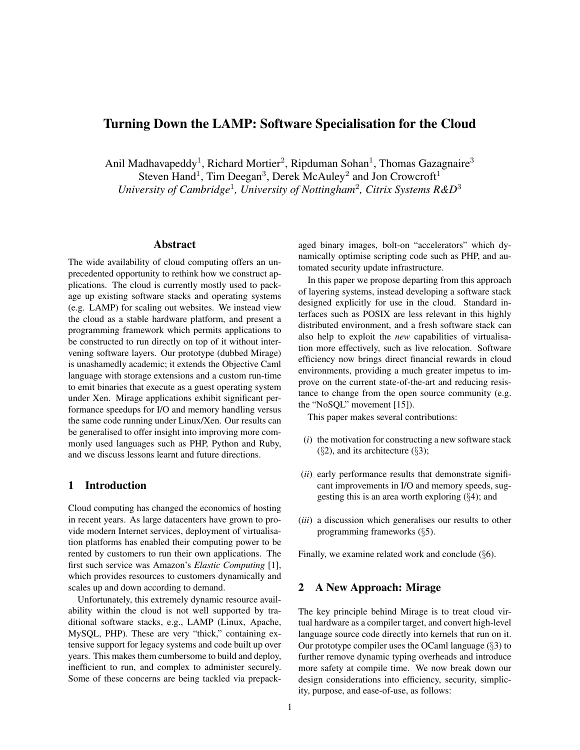# Turning Down the LAMP: Software Specialisation for the Cloud

Anil Madhavapeddy<sup>1</sup>, Richard Mortier<sup>2</sup>, Ripduman Sohan<sup>1</sup>, Thomas Gazagnaire<sup>3</sup> Steven Hand<sup>1</sup>, Tim Deegan<sup>3</sup>, Derek McAuley<sup>2</sup> and Jon Crowcroft<sup>1</sup> University of Cambridge<sup>1</sup>, University of Nottingham<sup>2</sup>, Citrix Systems R&D<sup>3</sup>

### Abstract

The wide availability of cloud computing offers an unprecedented opportunity to rethink how we construct applications. The cloud is currently mostly used to package up existing software stacks and operating systems (e.g. LAMP) for scaling out websites. We instead view the cloud as a stable hardware platform, and present a programming framework which permits applications to be constructed to run directly on top of it without intervening software layers. Our prototype (dubbed Mirage) is unashamedly academic; it extends the Objective Caml language with storage extensions and a custom run-time to emit binaries that execute as a guest operating system under Xen. Mirage applications exhibit significant performance speedups for I/O and memory handling versus the same code running under Linux/Xen. Our results can be generalised to offer insight into improving more commonly used languages such as PHP, Python and Ruby, and we discuss lessons learnt and future directions.

## 1 Introduction

Cloud computing has changed the economics of hosting in recent years. As large datacenters have grown to provide modern Internet services, deployment of virtualisation platforms has enabled their computing power to be rented by customers to run their own applications. The first such service was Amazon's *Elastic Computing* [1], which provides resources to customers dynamically and scales up and down according to demand.

Unfortunately, this extremely dynamic resource availability within the cloud is not well supported by traditional software stacks, e.g., LAMP (Linux, Apache, MySQL, PHP). These are very "thick," containing extensive support for legacy systems and code built up over years. This makes them cumbersome to build and deploy, inefficient to run, and complex to administer securely. Some of these concerns are being tackled via prepackaged binary images, bolt-on "accelerators" which dynamically optimise scripting code such as PHP, and automated security update infrastructure.

In this paper we propose departing from this approach of layering systems, instead developing a software stack designed explicitly for use in the cloud. Standard interfaces such as POSIX are less relevant in this highly distributed environment, and a fresh software stack can also help to exploit the *new* capabilities of virtualisation more effectively, such as live relocation. Software efficiency now brings direct financial rewards in cloud environments, providing a much greater impetus to improve on the current state-of-the-art and reducing resistance to change from the open source community (e.g. the "NoSQL" movement [15]).

This paper makes several contributions:

- (*i*) the motivation for constructing a new software stack  $(\S$ 2), and its architecture  $(\S$ 3);
- (*ii*) early performance results that demonstrate significant improvements in I/O and memory speeds, suggesting this is an area worth exploring (§4); and
- (*iii*) a discussion which generalises our results to other programming frameworks (§5).

Finally, we examine related work and conclude (§6).

### 2 A New Approach: Mirage

The key principle behind Mirage is to treat cloud virtual hardware as a compiler target, and convert high-level language source code directly into kernels that run on it. Our prototype compiler uses the OCaml language (§3) to further remove dynamic typing overheads and introduce more safety at compile time. We now break down our design considerations into efficiency, security, simplicity, purpose, and ease-of-use, as follows: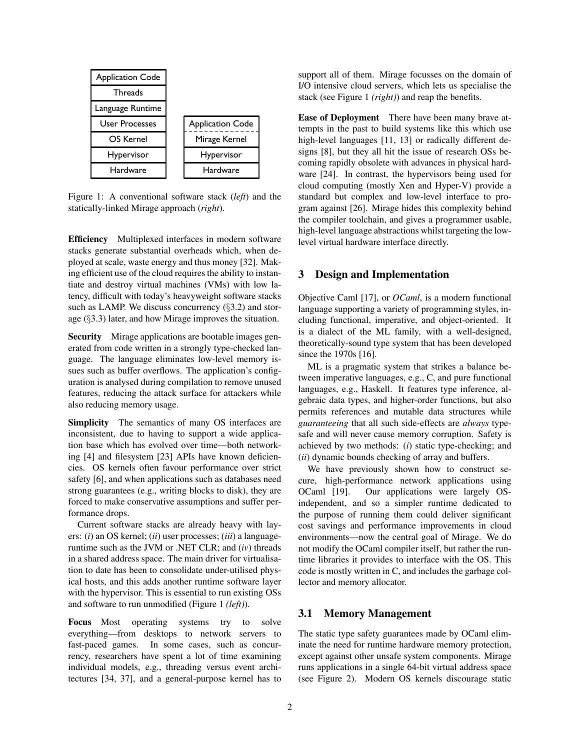

Figure 1: A conventional software stack (*left*) and the statically-linked Mirage approach (*right*).

Efficiency Multiplexed interfaces in modern software stacks generate substantial overheads which, when deployed at scale, waste energy and thus money [32]. Making efficient use of the cloud requires the ability to instantiate and destroy virtual machines (VMs) with low latency, difficult with today's heavyweight software stacks such as LAMP. We discuss concurrency (§3.2) and storage (§3.3) later, and how Mirage improves the situation.

Security Mirage applications are bootable images generated from code written in a strongly type-checked language. The language eliminates low-level memory issues such as buffer overflows. The application's configuration is analysed during compilation to remove unused features, reducing the attack surface for attackers while also reducing memory usage.

Simplicity The semantics of many OS interfaces are inconsistent, due to having to support a wide application base which has evolved over time—both networking [4] and filesystem [23] APIs have known deficiencies. OS kernels often favour performance over strict safety [6], and when applications such as databases need strong guarantees (e.g., writing blocks to disk), they are forced to make conservative assumptions and suffer performance drops.

Current software stacks are already heavy with layers: (*i*) an OS kernel; (*ii*) user processes; (*iii*) a languageruntime such as the JVM or .NET CLR; and (*iv*) threads in a shared address space. The main driver for virtualisation to date has been to consolidate under-utilised physical hosts, and this adds another runtime software layer with the hypervisor. This is essential to run existing OSs and software to run unmodified (Figure 1 *(left)*).

Focus Most operating systems try to solve everything—from desktops to network servers to fast-paced games. In some cases, such as concurrency, researchers have spent a lot of time examining individual models, e.g., threading versus event architectures [34, 37], and a general-purpose kernel has to support all of them. Mirage focusses on the domain of I/O intensive cloud servers, which lets us specialise the stack (see Figure 1 *(right)*) and reap the benefits.

Ease of Deployment There have been many brave attempts in the past to build systems like this which use high-level languages [11, 13] or radically different designs [8], but they all hit the issue of research OSs becoming rapidly obsolete with advances in physical hardware [24]. In contrast, the hypervisors being used for cloud computing (mostly Xen and Hyper-V) provide a standard but complex and low-level interface to program against [26]. Mirage hides this complexity behind the compiler toolchain, and gives a programmer usable, high-level language abstractions whilst targeting the lowlevel virtual hardware interface directly.

#### 3 Design and Implementation

Objective Caml [17], or *OCaml*, is a modern functional language supporting a variety of programming styles, including functional, imperative, and object-oriented. It is a dialect of the ML family, with a well-designed, theoretically-sound type system that has been developed since the 1970s [16].

ML is a pragmatic system that strikes a balance between imperative languages, e.g., C, and pure functional languages, e.g., Haskell. It features type inference, algebraic data types, and higher-order functions, but also permits references and mutable data structures while *guaranteeing* that all such side-effects are *always* typesafe and will never cause memory corruption. Safety is achieved by two methods: (*i*) static type-checking; and (*ii*) dynamic bounds checking of array and buffers.

We have previously shown how to construct secure, high-performance network applications using OCaml [19]. Our applications were largely OSindependent, and so a simpler runtime dedicated to the purpose of running them could deliver significant cost savings and performance improvements in cloud environments—now the central goal of Mirage. We do not modify the OCaml compiler itself, but rather the runtime libraries it provides to interface with the OS. This code is mostly written in C, and includes the garbage collector and memory allocator.

#### 3.1 Memory Management

The static type safety guarantees made by OCaml eliminate the need for runtime hardware memory protection, except against other unsafe system components. Mirage runs applications in a single 64-bit virtual address space (see Figure 2). Modern OS kernels discourage static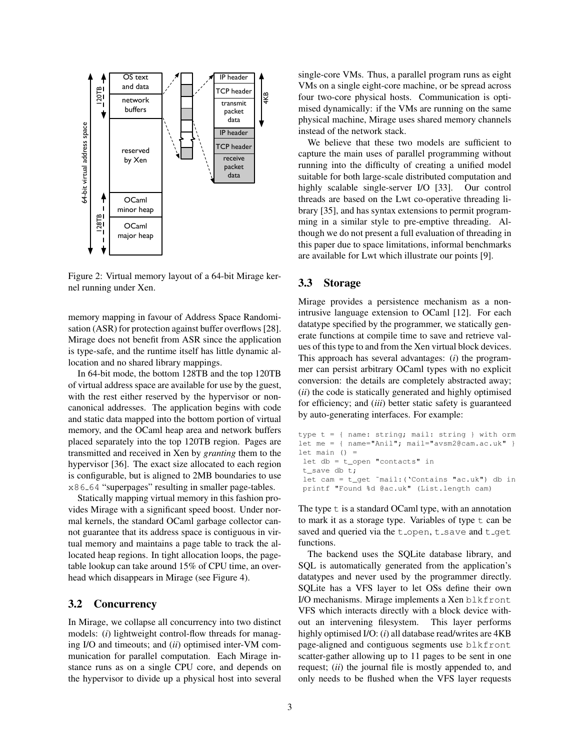

Figure 2: Virtual memory layout of a 64-bit Mirage kernel running under Xen.

memory mapping in favour of Address Space Randomisation (ASR) for protection against buffer overflows [28]. Mirage does not benefit from ASR since the application is type-safe, and the runtime itself has little dynamic allocation and no shared library mappings.

In 64-bit mode, the bottom 128TB and the top 120TB of virtual address space are available for use by the guest, with the rest either reserved by the hypervisor or noncanonical addresses. The application begins with code and static data mapped into the bottom portion of virtual memory, and the OCaml heap area and network buffers placed separately into the top 120TB region. Pages are transmitted and received in Xen by *granting* them to the hypervisor [36]. The exact size allocated to each region is configurable, but is aligned to 2MB boundaries to use x86 64 "superpages" resulting in smaller page-tables.

Statically mapping virtual memory in this fashion provides Mirage with a significant speed boost. Under normal kernels, the standard OCaml garbage collector cannot guarantee that its address space is contiguous in virtual memory and maintains a page table to track the allocated heap regions. In tight allocation loops, the pagetable lookup can take around 15% of CPU time, an overhead which disappears in Mirage (see Figure 4).

### 3.2 Concurrency

In Mirage, we collapse all concurrency into two distinct models: (*i*) lightweight control-flow threads for managing I/O and timeouts; and (*ii*) optimised inter-VM communication for parallel computation. Each Mirage instance runs as on a single CPU core, and depends on the hypervisor to divide up a physical host into several single-core VMs. Thus, a parallel program runs as eight VMs on a single eight-core machine, or be spread across four two-core physical hosts. Communication is optimised dynamically: if the VMs are running on the same physical machine, Mirage uses shared memory channels instead of the network stack.

We believe that these two models are sufficient to capture the main uses of parallel programming without running into the difficulty of creating a unified model suitable for both large-scale distributed computation and highly scalable single-server I/O [33]. Our control threads are based on the Lwt co-operative threading library [35], and has syntax extensions to permit programming in a similar style to pre-emptive threading. Although we do not present a full evaluation of threading in this paper due to space limitations, informal benchmarks are available for Lwt which illustrate our points [9].

### 3.3 Storage

Mirage provides a persistence mechanism as a nonintrusive language extension to OCaml [12]. For each datatype specified by the programmer, we statically generate functions at compile time to save and retrieve values of this type to and from the Xen virtual block devices. This approach has several advantages: (*i*) the programmer can persist arbitrary OCaml types with no explicit conversion: the details are completely abstracted away; (*ii*) the code is statically generated and highly optimised for efficiency; and (*iii*) better static safety is guaranteed by auto-generating interfaces. For example:

```
type t = { name: string; mail: string } with orm
let me = { name="Anil"; mail="avsm2@cam.ac.uk" }
let main () =let db = t_open "contacts" in
 t_save db t;
 let cam = t_get ˜mail:('Contains "ac.uk") db in
printf "Found %d @ac.uk" (List.length cam)
```
The type  $t$  is a standard OCaml type, with an annotation to mark it as a storage type. Variables of type  $t$  can be saved and queried via the  $t$  open,  $t$  save and  $t$  get functions.

The backend uses the SQLite database library, and SQL is automatically generated from the application's datatypes and never used by the programmer directly. SQLite has a VFS layer to let OSs define their own I/O mechanisms. Mirage implements a Xen blkfront VFS which interacts directly with a block device without an intervening filesystem. This layer performs highly optimised I/O: (*i*) all database read/writes are 4KB page-aligned and contiguous segments use blkfront scatter-gather allowing up to 11 pages to be sent in one request; (*ii*) the journal file is mostly appended to, and only needs to be flushed when the VFS layer requests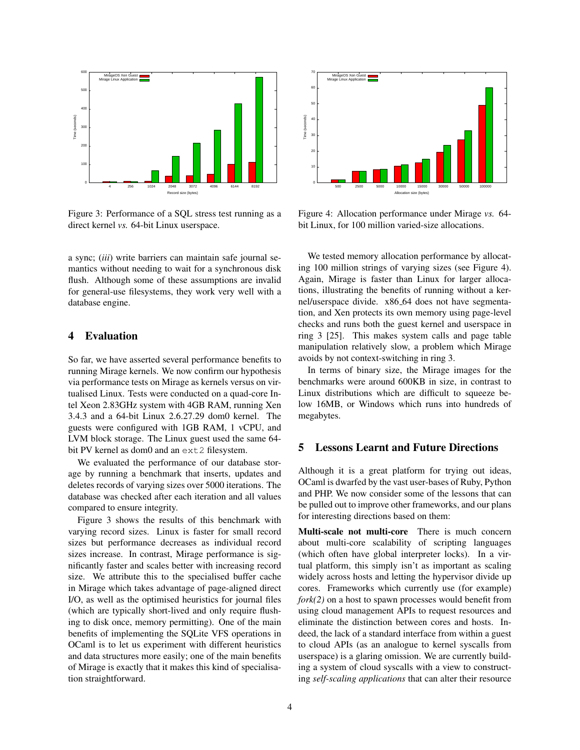

Figure 3: Performance of a SQL stress test running as a direct kernel *vs.* 64-bit Linux userspace.

a sync; (*iii*) write barriers can maintain safe journal semantics without needing to wait for a synchronous disk flush. Although some of these assumptions are invalid for general-use filesystems, they work very well with a database engine.

## 4 Evaluation

So far, we have asserted several performance benefits to running Mirage kernels. We now confirm our hypothesis via performance tests on Mirage as kernels versus on virtualised Linux. Tests were conducted on a quad-core Intel Xeon 2.83GHz system with 4GB RAM, running Xen 3.4.3 and a 64-bit Linux 2.6.27.29 dom0 kernel. The guests were configured with 1GB RAM, 1 vCPU, and LVM block storage. The Linux guest used the same 64 bit PV kernel as dom0 and an ext2 filesystem.

We evaluated the performance of our database storage by running a benchmark that inserts, updates and deletes records of varying sizes over 5000 iterations. The database was checked after each iteration and all values compared to ensure integrity.

Figure 3 shows the results of this benchmark with varying record sizes. Linux is faster for small record sizes but performance decreases as individual record sizes increase. In contrast, Mirage performance is significantly faster and scales better with increasing record size. We attribute this to the specialised buffer cache in Mirage which takes advantage of page-aligned direct I/O, as well as the optimised heuristics for journal files (which are typically short-lived and only require flushing to disk once, memory permitting). One of the main benefits of implementing the SQLite VFS operations in OCaml is to let us experiment with different heuristics and data structures more easily; one of the main benefits of Mirage is exactly that it makes this kind of specialisation straightforward.



Figure 4: Allocation performance under Mirage *vs.* 64 bit Linux, for 100 million varied-size allocations.

We tested memory allocation performance by allocating 100 million strings of varying sizes (see Figure 4). Again, Mirage is faster than Linux for larger allocations, illustrating the benefits of running without a kernel/userspace divide. x86 64 does not have segmentation, and Xen protects its own memory using page-level checks and runs both the guest kernel and userspace in ring 3 [25]. This makes system calls and page table manipulation relatively slow, a problem which Mirage avoids by not context-switching in ring 3.

In terms of binary size, the Mirage images for the benchmarks were around 600KB in size, in contrast to Linux distributions which are difficult to squeeze below 16MB, or Windows which runs into hundreds of megabytes.

## 5 Lessons Learnt and Future Directions

Although it is a great platform for trying out ideas, OCaml is dwarfed by the vast user-bases of Ruby, Python and PHP. We now consider some of the lessons that can be pulled out to improve other frameworks, and our plans for interesting directions based on them:

Multi-scale not multi-core There is much concern about multi-core scalability of scripting languages (which often have global interpreter locks). In a virtual platform, this simply isn't as important as scaling widely across hosts and letting the hypervisor divide up cores. Frameworks which currently use (for example) *fork(2)* on a host to spawn processes would benefit from using cloud management APIs to request resources and eliminate the distinction between cores and hosts. Indeed, the lack of a standard interface from within a guest to cloud APIs (as an analogue to kernel syscalls from userspace) is a glaring omission. We are currently building a system of cloud syscalls with a view to constructing *self-scaling applications* that can alter their resource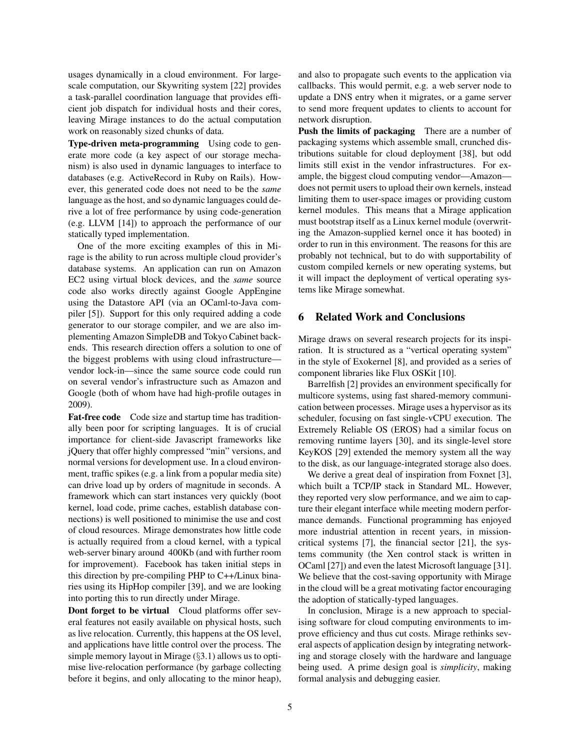usages dynamically in a cloud environment. For largescale computation, our Skywriting system [22] provides a task-parallel coordination language that provides efficient job dispatch for individual hosts and their cores, leaving Mirage instances to do the actual computation work on reasonably sized chunks of data.

Type-driven meta-programming Using code to generate more code (a key aspect of our storage mechanism) is also used in dynamic languages to interface to databases (e.g. ActiveRecord in Ruby on Rails). However, this generated code does not need to be the *same* language as the host, and so dynamic languages could derive a lot of free performance by using code-generation (e.g. LLVM [14]) to approach the performance of our statically typed implementation.

One of the more exciting examples of this in Mirage is the ability to run across multiple cloud provider's database systems. An application can run on Amazon EC2 using virtual block devices, and the *same* source code also works directly against Google AppEngine using the Datastore API (via an OCaml-to-Java compiler [5]). Support for this only required adding a code generator to our storage compiler, and we are also implementing Amazon SimpleDB and Tokyo Cabinet backends. This research direction offers a solution to one of the biggest problems with using cloud infrastructure vendor lock-in—since the same source code could run on several vendor's infrastructure such as Amazon and Google (both of whom have had high-profile outages in 2009).

Fat-free code Code size and startup time has traditionally been poor for scripting languages. It is of crucial importance for client-side Javascript frameworks like jQuery that offer highly compressed "min" versions, and normal versions for development use. In a cloud environment, traffic spikes (e.g. a link from a popular media site) can drive load up by orders of magnitude in seconds. A framework which can start instances very quickly (boot kernel, load code, prime caches, establish database connections) is well positioned to minimise the use and cost of cloud resources. Mirage demonstrates how little code is actually required from a cloud kernel, with a typical web-server binary around 400Kb (and with further room for improvement). Facebook has taken initial steps in this direction by pre-compiling PHP to C++/Linux binaries using its HipHop compiler [39], and we are looking into porting this to run directly under Mirage.

Dont forget to be virtual Cloud platforms offer several features not easily available on physical hosts, such as live relocation. Currently, this happens at the OS level, and applications have little control over the process. The simple memory layout in Mirage  $(\S 3.1)$  allows us to optimise live-relocation performance (by garbage collecting before it begins, and only allocating to the minor heap), and also to propagate such events to the application via callbacks. This would permit, e.g. a web server node to update a DNS entry when it migrates, or a game server to send more frequent updates to clients to account for network disruption.

Push the limits of packaging There are a number of packaging systems which assemble small, crunched distributions suitable for cloud deployment [38], but odd limits still exist in the vendor infrastructures. For example, the biggest cloud computing vendor—Amazon does not permit users to upload their own kernels, instead limiting them to user-space images or providing custom kernel modules. This means that a Mirage application must bootstrap itself as a Linux kernel module (overwriting the Amazon-supplied kernel once it has booted) in order to run in this environment. The reasons for this are probably not technical, but to do with supportability of custom compiled kernels or new operating systems, but it will impact the deployment of vertical operating systems like Mirage somewhat.

#### 6 Related Work and Conclusions

Mirage draws on several research projects for its inspiration. It is structured as a "vertical operating system" in the style of Exokernel [8], and provided as a series of component libraries like Flux OSKit [10].

Barrelfish [2] provides an environment specifically for multicore systems, using fast shared-memory communication between processes. Mirage uses a hypervisor as its scheduler, focusing on fast single-vCPU execution. The Extremely Reliable OS (EROS) had a similar focus on removing runtime layers [30], and its single-level store KeyKOS [29] extended the memory system all the way to the disk, as our language-integrated storage also does.

We derive a great deal of inspiration from Foxnet [3], which built a TCP/IP stack in Standard ML. However, they reported very slow performance, and we aim to capture their elegant interface while meeting modern performance demands. Functional programming has enjoyed more industrial attention in recent years, in missioncritical systems [7], the financial sector [21], the systems community (the Xen control stack is written in OCaml [27]) and even the latest Microsoft language [31]. We believe that the cost-saving opportunity with Mirage in the cloud will be a great motivating factor encouraging the adoption of statically-typed languages.

In conclusion, Mirage is a new approach to specialising software for cloud computing environments to improve efficiency and thus cut costs. Mirage rethinks several aspects of application design by integrating networking and storage closely with the hardware and language being used. A prime design goal is *simplicity*, making formal analysis and debugging easier.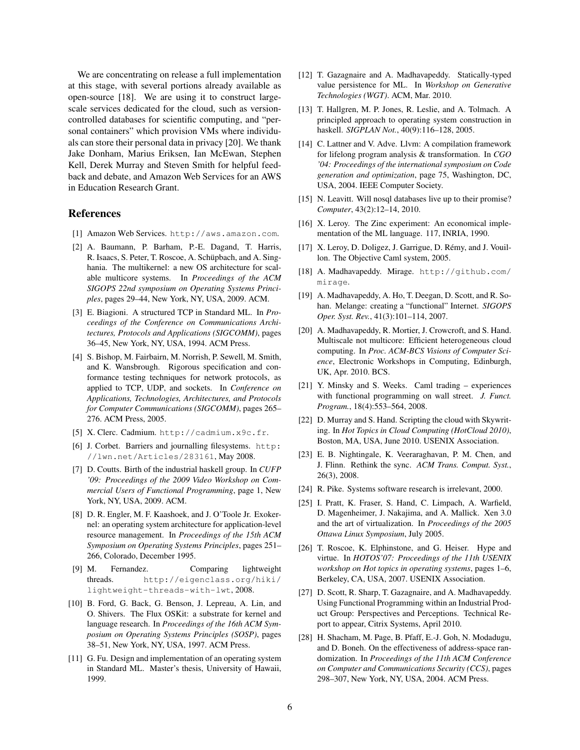We are concentrating on release a full implementation at this stage, with several portions already available as open-source [18]. We are using it to construct largescale services dedicated for the cloud, such as versioncontrolled databases for scientific computing, and "personal containers" which provision VMs where individuals can store their personal data in privacy [20]. We thank Jake Donham, Marius Eriksen, Ian McEwan, Stephen Kell, Derek Murray and Steven Smith for helpful feedback and debate, and Amazon Web Services for an AWS in Education Research Grant.

#### References

- [1] Amazon Web Services. http://aws.amazon.com.
- [2] A. Baumann, P. Barham, P.-E. Dagand, T. Harris, R. Isaacs, S. Peter, T. Roscoe, A. Schüpbach, and A. Singhania. The multikernel: a new OS architecture for scalable multicore systems. In *Proceedings of the ACM SIGOPS 22nd symposium on Operating Systems Principles*, pages 29–44, New York, NY, USA, 2009. ACM.
- [3] E. Biagioni. A structured TCP in Standard ML. In *Proceedings of the Conference on Communications Architectures, Protocols and Applications (SIGCOMM)*, pages 36–45, New York, NY, USA, 1994. ACM Press.
- [4] S. Bishop, M. Fairbairn, M. Norrish, P. Sewell, M. Smith, and K. Wansbrough. Rigorous specification and conformance testing techniques for network protocols, as applied to TCP, UDP, and sockets. In *Conference on Applications, Technologies, Architectures, and Protocols for Computer Communications (SIGCOMM)*, pages 265– 276. ACM Press, 2005.
- [5] X. Clerc. Cadmium. http://cadmium.x9c.fr.
- [6] J. Corbet. Barriers and journalling filesystems. http: //lwn.net/Articles/283161, May 2008.
- [7] D. Coutts. Birth of the industrial haskell group. In *CUFP '09: Proceedings of the 2009 Video Workshop on Commercial Users of Functional Programming*, page 1, New York, NY, USA, 2009. ACM.
- [8] D. R. Engler, M. F. Kaashoek, and J. O'Toole Jr. Exokernel: an operating system architecture for application-level resource management. In *Proceedings of the 15th ACM Symposium on Operating Systems Principles*, pages 251– 266, Colorado, December 1995.
- [9] M. Fernandez. Comparing lightweight threads. http://eigenclass.org/hiki/ lightweight-threads-with-lwt, 2008.
- [10] B. Ford, G. Back, G. Benson, J. Lepreau, A. Lin, and O. Shivers. The Flux OSKit: a substrate for kernel and language research. In *Proceedings of the 16th ACM Symposium on Operating Systems Principles (SOSP)*, pages 38–51, New York, NY, USA, 1997. ACM Press.
- [11] G. Fu. Design and implementation of an operating system in Standard ML. Master's thesis, University of Hawaii, 1999.
- [12] T. Gazagnaire and A. Madhavapeddy. Statically-typed value persistence for ML. In *Workshop on Generative Technologies (WGT)*. ACM, Mar. 2010.
- [13] T. Hallgren, M. P. Jones, R. Leslie, and A. Tolmach. A principled approach to operating system construction in haskell. *SIGPLAN Not.*, 40(9):116–128, 2005.
- [14] C. Lattner and V. Adve. Llvm: A compilation framework for lifelong program analysis & transformation. In *CGO '04: Proceedings of the international symposium on Code generation and optimization*, page 75, Washington, DC, USA, 2004. IEEE Computer Society.
- [15] N. Leavitt. Will nosql databases live up to their promise? *Computer*, 43(2):12–14, 2010.
- [16] X. Leroy. The Zinc experiment: An economical implementation of the ML language. 117, INRIA, 1990.
- [17] X. Leroy, D. Doligez, J. Garrigue, D. Rémy, and J. Vouillon. The Objective Caml system, 2005.
- [18] A. Madhavapeddy. Mirage. http://github.com/ mirage.
- [19] A. Madhavapeddy, A. Ho, T. Deegan, D. Scott, and R. Sohan. Melange: creating a "functional" Internet. *SIGOPS Oper. Syst. Rev.*, 41(3):101–114, 2007.
- [20] A. Madhavapeddy, R. Mortier, J. Crowcroft, and S. Hand. Multiscale not multicore: Efficient heterogeneous cloud computing. In *Proc. ACM-BCS Visions of Computer Science*, Electronic Workshops in Computing, Edinburgh, UK, Apr. 2010. BCS.
- [21] Y. Minsky and S. Weeks. Caml trading experiences with functional programming on wall street. *J. Funct. Program.*, 18(4):553–564, 2008.
- [22] D. Murray and S. Hand. Scripting the cloud with Skywriting. In *Hot Topics in Cloud Computing (HotCloud 2010)*, Boston, MA, USA, June 2010. USENIX Association.
- [23] E. B. Nightingale, K. Veeraraghavan, P. M. Chen, and J. Flinn. Rethink the sync. *ACM Trans. Comput. Syst.*, 26(3), 2008.
- [24] R. Pike. Systems software research is irrelevant, 2000.
- [25] I. Pratt, K. Fraser, S. Hand, C. Limpach, A. Warfield, D. Magenheimer, J. Nakajima, and A. Mallick. Xen 3.0 and the art of virtualization. In *Proceedings of the 2005 Ottawa Linux Symposium*, July 2005.
- [26] T. Roscoe, K. Elphinstone, and G. Heiser. Hype and virtue. In *HOTOS'07: Proceedings of the 11th USENIX workshop on Hot topics in operating systems*, pages 1–6, Berkeley, CA, USA, 2007. USENIX Association.
- [27] D. Scott, R. Sharp, T. Gazagnaire, and A. Madhavapeddy. Using Functional Programming within an Industrial Product Group: Perspectives and Perceptions. Technical Report to appear, Citrix Systems, April 2010.
- [28] H. Shacham, M. Page, B. Pfaff, E.-J. Goh, N. Modadugu, and D. Boneh. On the effectiveness of address-space randomization. In *Proceedings of the 11th ACM Conference on Computer and Communications Security (CCS)*, pages 298–307, New York, NY, USA, 2004. ACM Press.